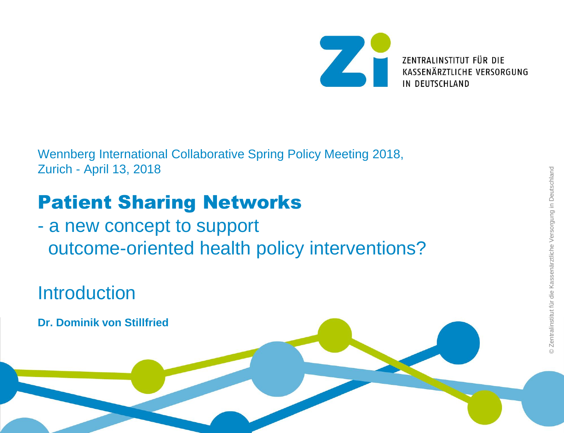

Wennberg International Collaborative Spring Policy Meeting 2018, Zurich - April 13, 2018

# Patient Sharing Networks

- a new concept to support outcome-oriented health policy interventions?

Introduction

**Dr. Dominik von Stillfried**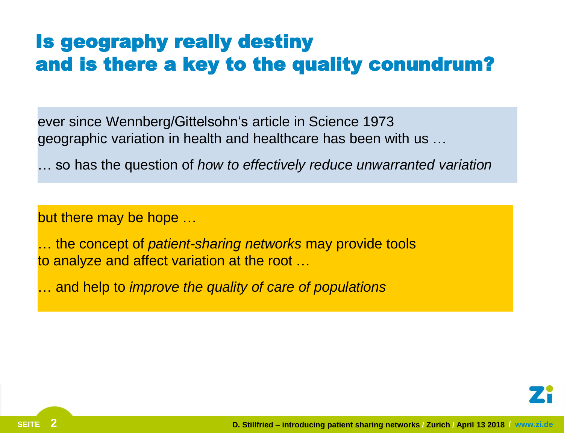## Is geography really destiny and is there a key to the quality conundrum?

ever since Wennberg/Gittelsohn's article in Science 1973 geographic variation in health and healthcare has been with us …

… so has the question of *how to effectively reduce unwarranted variation*

but there may be hope …

… the concept of *patient-sharing networks* may provide tools to analyze and affect variation at the root …

… and help to *improve the quality of care of populations*

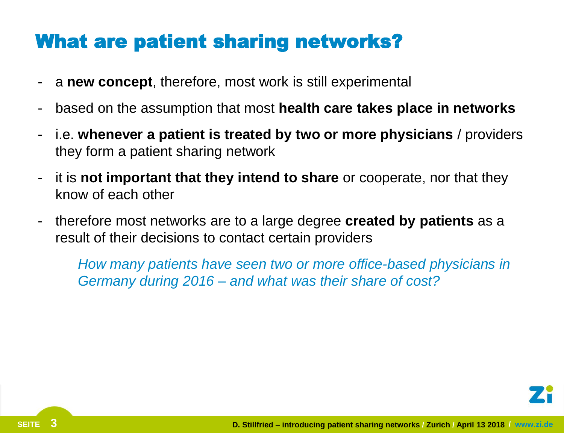### What are patient sharing networks?

- a **new concept**, therefore, most work is still experimental
- based on the assumption that most **health care takes place in networks**
- i.e. **whenever a patient is treated by two or more physicians** / providers they form a patient sharing network
- it is **not important that they intend to share** or cooperate, nor that they know of each other
- therefore most networks are to a large degree **created by patients** as a result of their decisions to contact certain providers

*How many patients have seen two or more office-based physicians in Germany during 2016 – and what was their share of cost?*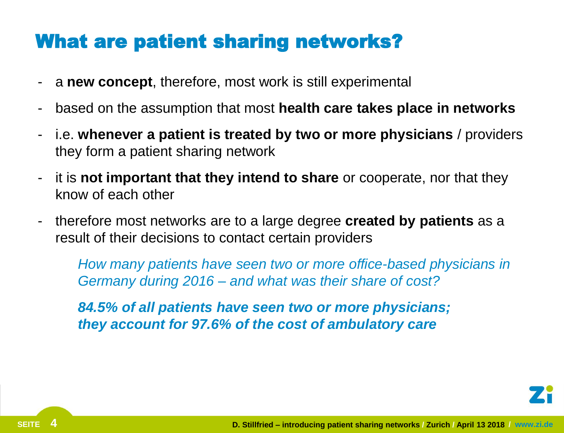### What are patient sharing networks?

- a **new concept**, therefore, most work is still experimental
- based on the assumption that most **health care takes place in networks**
- i.e. **whenever a patient is treated by two or more physicians** / providers they form a patient sharing network
- it is **not important that they intend to share** or cooperate, nor that they know of each other
- therefore most networks are to a large degree **created by patients** as a result of their decisions to contact certain providers

*How many patients have seen two or more office-based physicians in Germany during 2016 – and what was their share of cost?*

*84.5% of all patients have seen two or more physicians; they account for 97.6% of the cost of ambulatory care*

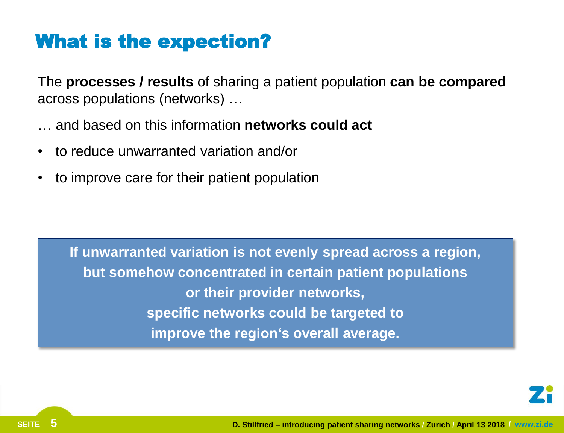### What is the expection?

The **processes / results** of sharing a patient population **can be compared** across populations (networks) …

- … and based on this information **networks could act**
- to reduce unwarranted variation and/or
- to improve care for their patient population

**If unwarranted variation is not evenly spread across a region, but somehow concentrated in certain patient populations or their provider networks, specific networks could be targeted to improve the region's overall average.**

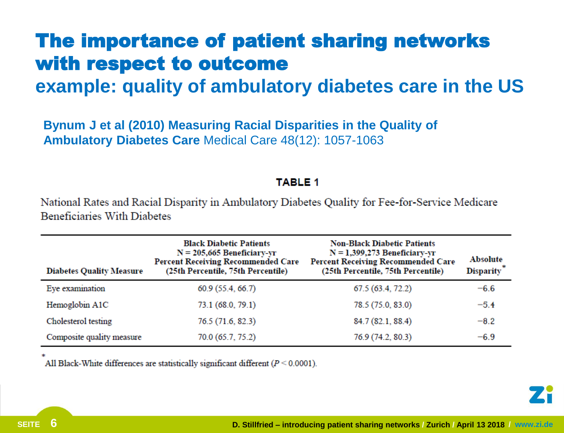# The importance of patient sharing networks with respect to outcome

### **example: quality of ambulatory diabetes care in the US**

**Bynum J et al (2010) Measuring Racial Disparities in the Quality of Ambulatory Diabetes Care** Medical Care 48(12): 1057-1063

#### **TABLE 1**

National Rates and Racial Disparity in Ambulatory Diabetes Ouality for Fee-for-Service Medicare **Beneficiaries With Diabetes** 

| <b>Diabetes Quality Measure</b> | <b>Black Diabetic Patients</b><br>$N = 205,665$ Beneficiary-yr<br><b>Percent Receiving Recommended Care</b><br>(25th Percentile, 75th Percentile) | <b>Non-Black Diabetic Patients</b><br>$N = 1,399,273$ Beneficiary-yr<br><b>Percent Receiving Recommended Care</b><br>(25th Percentile, 75th Percentile) | <b>Absolute</b><br>Disparity <sup>*</sup> |
|---------------------------------|---------------------------------------------------------------------------------------------------------------------------------------------------|---------------------------------------------------------------------------------------------------------------------------------------------------------|-------------------------------------------|
| Eye examination                 | 60.9 (55.4, 66.7)                                                                                                                                 | 67.5 (63.4, 72.2)                                                                                                                                       | $-6.6$                                    |
| Hemoglobin A1C                  | 73.1 (68.0, 79.1)                                                                                                                                 | 78.5 (75.0, 83.0)                                                                                                                                       | $-5.4$                                    |
| Cholesterol testing             | 76.5 (71.6, 82.3)                                                                                                                                 | 84.7 (82.1, 88.4)                                                                                                                                       | $-8.2$                                    |
| Composite quality measure       | 70.0 (65.7, 75.2)                                                                                                                                 | 76.9 (74.2, 80.3)                                                                                                                                       | $-6.9$                                    |

All Black-White differences are statistically significant different  $(P \le 0.0001)$ .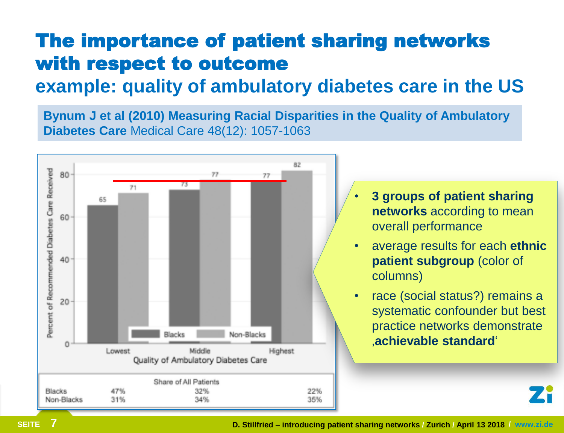# The importance of patient sharing networks with respect to outcome

### **example: quality of ambulatory diabetes care in the US**

**Bynum J et al (2010) Measuring Racial Disparities in the Quality of Ambulatory Diabetes Care** Medical Care 48(12): 1057-1063

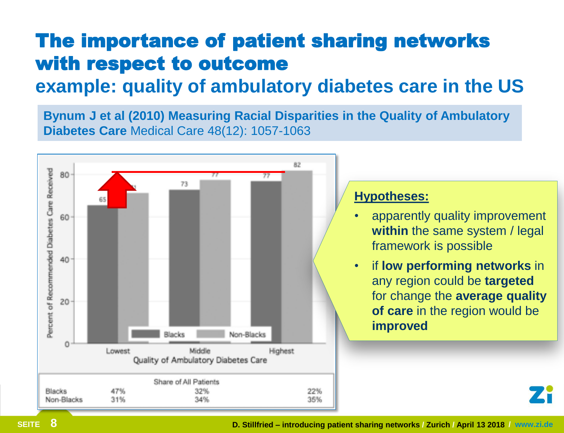## The importance of patient sharing networks with respect to outcome

### **example: quality of ambulatory diabetes care in the US**

**Bynum J et al (2010) Measuring Racial Disparities in the Quality of Ambulatory Diabetes Care** Medical Care 48(12): 1057-1063



#### **Hypotheses:**

- apparently quality improvement **within** the same system / legal framework is possible
- if **low performing networks** in any region could be **targeted** for change the **average quality of care** in the region would be **improved**

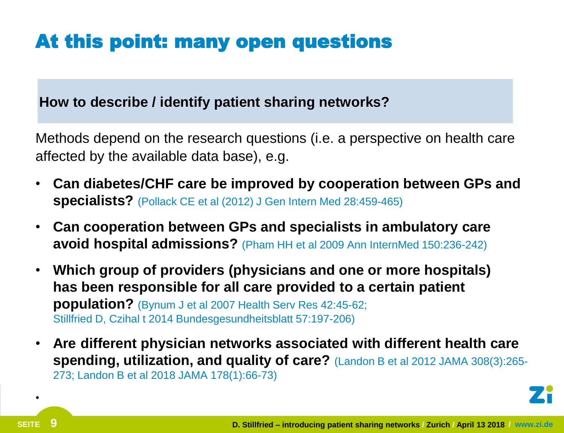# At this point: many open questions

### **How to describe / identify patient sharing networks?**

Methods depend on the research questions (i.e. a perspective on health care affected by the available data base), e.g.

- **Can diabetes/CHF care be improved by cooperation between GPs and specialists?** (Pollack CE et al (2012) J Gen Intern Med 28:459-465)
- **Can cooperation between GPs and specialists in ambulatory care avoid hospital admissions?** (Pham HH et al 2009 Ann InternMed 150:236-242)
- **Which group of providers (physicians and one or more hospitals) has been responsible for all care provided to a certain patient population?** (Bynum J et al 2007 Health Serv Res 42:45-62; Stillfried D, Czihal t 2014 Bundesgesundheitsblatt 57:197-206)
- **Are different physician networks associated with different health care spending, utilization, and quality of care?** (Landon B et al 2012 JAMA 308(3):265- 273; Landon B et al 2018 JAMA 178(1):66-73)



•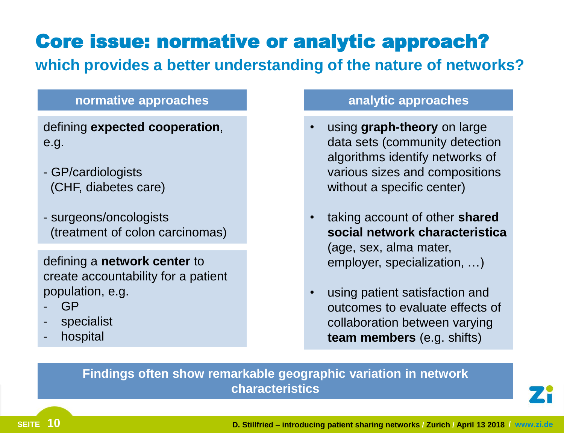# Core issue: normative or analytic approach?

**which provides a better understanding of the nature of networks?**

#### **normative approaches analytic approaches**

defining **expected cooperation**, e.g.

- GP/cardiologists (CHF, diabetes care)
- surgeons/oncologists (treatment of colon carcinomas)

defining a **network center** to create accountability for a patient population, e.g.

- GP
- specialist
- hospital

- using **graph-theory** on large data sets (community detection algorithms identify networks of various sizes and compositions without a specific center)
- taking account of other **shared social network characteristica** (age, sex, alma mater, employer, specialization, …)
- using patient satisfaction and outcomes to evaluate effects of collaboration between varying **team members** (e.g. shifts)

#### **Findings often show remarkable geographic variation in network characteristics**

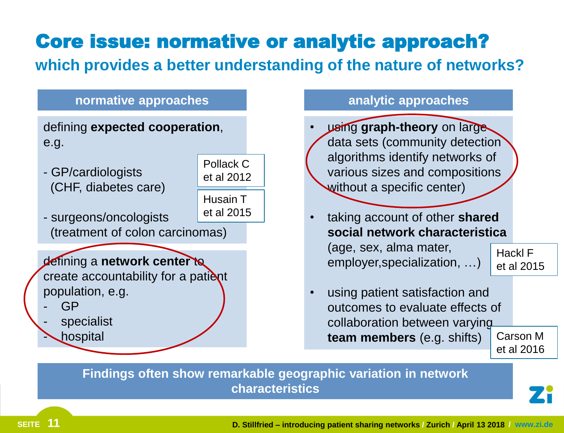# Core issue: normative or analytic approach?

**which provides a better understanding of the nature of networks?**



**Findings often show remarkable geographic variation in network characteristics** 

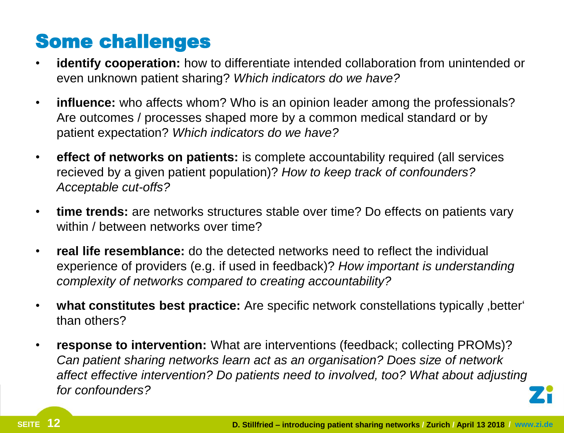### Some challenges

- **identify cooperation:** how to differentiate intended collaboration from unintended or even unknown patient sharing? *Which indicators do we have?*
- **influence:** who affects whom? Who is an opinion leader among the professionals? Are outcomes / processes shaped more by a common medical standard or by patient expectation? *Which indicators do we have?*
- **effect of networks on patients:** is complete accountability required (all services recieved by a given patient population)? *How to keep track of confounders? Acceptable cut-offs?*
- **time trends:** are networks structures stable over time? Do effects on patients vary within / between networks over time?
- **real life resemblance:** do the detected networks need to reflect the individual experience of providers (e.g. if used in feedback)? *How important is understanding complexity of networks compared to creating accountability?*
- **what constitutes best practice:** Are specific network constellations typically better ' than others?
- **response to intervention:** What are interventions (feedback; collecting PROMs)? *Can patient sharing networks learn act as an organisation? Does size of network affect effective intervention? Do patients need to involved, too? What about adjusting for confounders?*